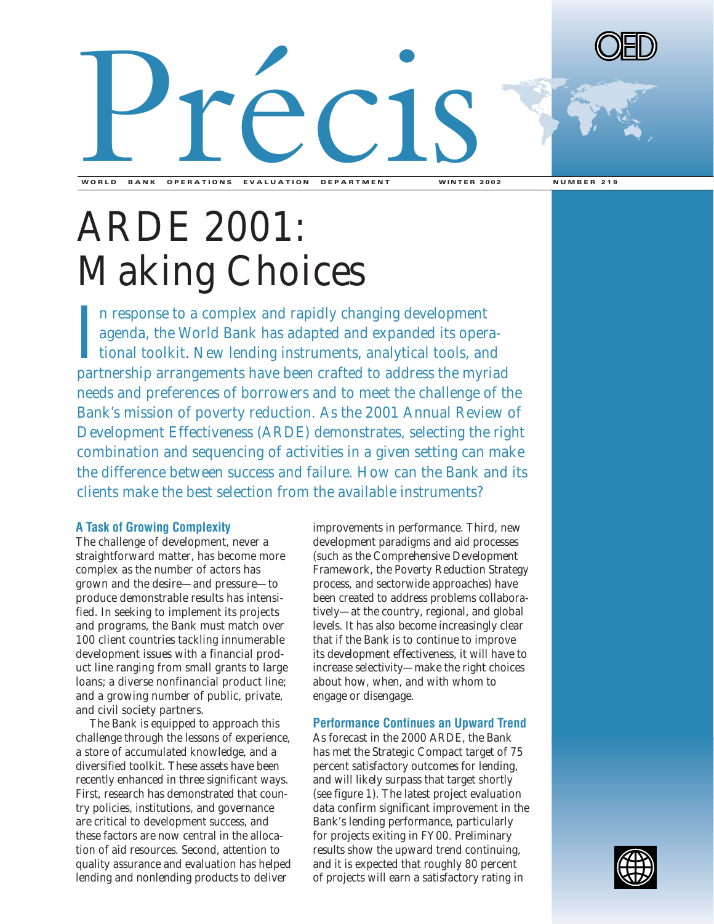

**WORLD BANK OPERATIONS EVALUATION DEPARTMENT WINTER 2002 NUMBER 219** 

# ARDE 2001: Making Choices

I<br>nar n response to a complex and rapidly changing development agenda, the World Bank has adapted and expanded its operational toolkit. New lending instruments, analytical tools, and partnership arrangements have been crafted to address the myriad needs and preferences of borrowers and to meet the challenge of the Bank's mission of poverty reduction. As the *2001 Annual Review of Development Effectiveness* (ARDE) demonstrates, selecting the right combination and sequencing of activities in a given setting can make the difference between success and failure. How can the Bank and its clients make the best selection from the available instruments?

# **A Task of Growing Complexity**

The challenge of development, never a straightforward matter, has become more complex as the number of actors has grown and the desire—and pressure—to produce demonstrable results has intensified. In seeking to implement its projects and programs, the Bank must match over 100 client countries tackling innumerable development issues with a financial product line ranging from small grants to large loans; a diverse nonfinancial product line; and a growing number of public, private, and civil society partners.

The Bank is equipped to approach this challenge through the lessons of experience, a store of accumulated knowledge, and a diversified toolkit. These assets have been recently enhanced in three significant ways. First, research has demonstrated that country policies, institutions, and governance are critical to development success, and these factors are now central in the allocation of aid resources. Second, attention to quality assurance and evaluation has helped lending and nonlending products to deliver

improvements in performance. Third, new development paradigms and aid processes (such as the Comprehensive Development Framework, the Poverty Reduction Strategy process, and sectorwide approaches) have been created to address problems collaboratively—at the country, regional, and global levels. It has also become increasingly clear that if the Bank is to continue to improve its development effectiveness, it will have to increase selectivity—make the right choices about how, when, and with whom to engage or disengage.

# **Performance Continues an Upward Trend**

As forecast in the 2000 ARDE, the Bank has met the Strategic Compact target of 75 percent satisfactory outcomes for lending, and will likely surpass that target shortly (see figure 1). The latest project evaluation data confirm significant improvement in the Bank's lending performance, particularly for projects exiting in FY00. Preliminary results show the upward trend continuing, and it is expected that roughly 80 percent of projects will earn a satisfactory rating in

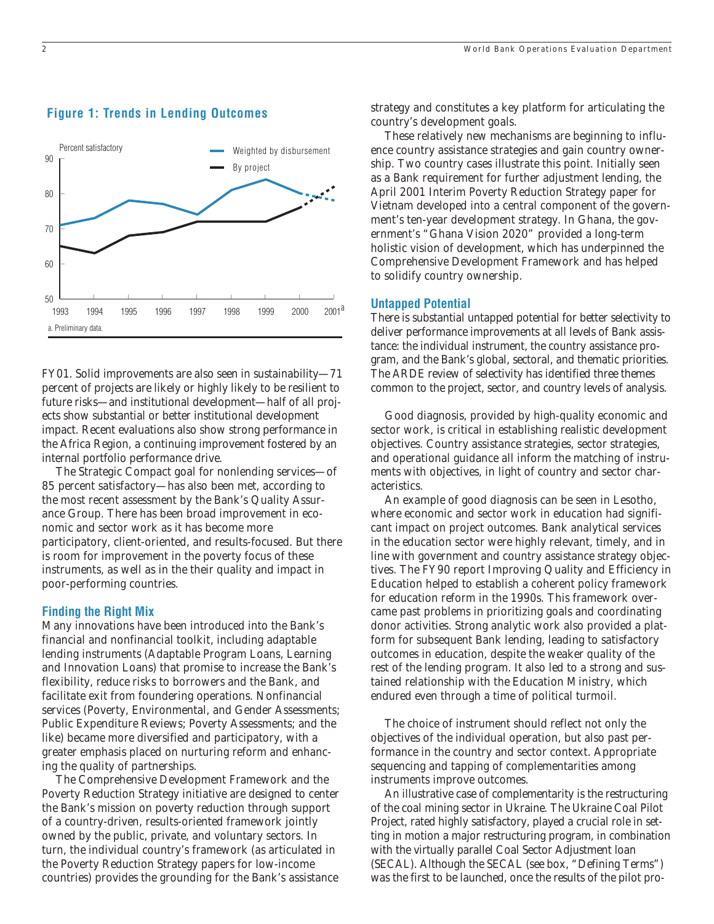

# **Figure 1: Trends in Lending Outcomes**

FY01. Solid improvements are also seen in sustainability—71 percent of projects are likely or highly likely to be resilient to future risks—and institutional development—half of all projects show substantial or better institutional development impact. Recent evaluations also show strong performance in the Africa Region, a continuing improvement fostered by an internal portfolio performance drive.

The Strategic Compact goal for nonlending services—of 85 percent satisfactory—has also been met, according to the most recent assessment by the Bank's Quality Assurance Group. There has been broad improvement in economic and sector work as it has become more participatory, client-oriented, and results-focused. But there is room for improvement in the poverty focus of these instruments, as well as in the their quality and impact in poor-performing countries.

### **Finding the Right Mix**

Many innovations have been introduced into the Bank's financial and nonfinancial toolkit, including adaptable lending instruments (Adaptable Program Loans, Learning and Innovation Loans) that promise to increase the Bank's flexibility, reduce risks to borrowers and the Bank, and facilitate exit from foundering operations. Nonfinancial services (Poverty, Environmental, and Gender Assessments; Public Expenditure Reviews; Poverty Assessments; and the like) became more diversified and participatory, with a greater emphasis placed on nurturing reform and enhancing the quality of partnerships.

The Comprehensive Development Framework and the Poverty Reduction Strategy initiative are designed to center the Bank's mission on poverty reduction through support of a country-driven, results-oriented framework jointly owned by the public, private, and voluntary sectors. In turn, the individual country's framework (as articulated in the Poverty Reduction Strategy papers for low-income countries) provides the grounding for the Bank's assistance

strategy and constitutes a key platform for articulating the country's development goals.

These relatively new mechanisms are beginning to influence country assistance strategies and gain country ownership. Two country cases illustrate this point. Initially seen as a Bank requirement for further adjustment lending, the April 2001 Interim Poverty Reduction Strategy paper for Vietnam developed into a central component of the government's ten-year development strategy. In Ghana, the government's "Ghana Vision 2020" provided a long-term holistic vision of development, which has underpinned the Comprehensive Development Framework and has helped to solidify country ownership.

#### **Untapped Potential**

There is substantial untapped potential for better selectivity to deliver performance improvements at all levels of Bank assistance: the individual instrument, the country assistance program, and the Bank's global, sectoral, and thematic priorities. The ARDE review of selectivity has identified three themes common to the project, sector, and country levels of analysis.

*Good diagnosis, provided by high-quality economic and sector work, is critical in establishing realistic development objectives. Country assistance strategies, sector strategies, and operational guidance all inform the matching of instruments with objectives, in light of country and sector characteristics.* 

An example of good diagnosis can be seen in Lesotho, where economic and sector work in education had significant impact on project outcomes. Bank analytical services in the education sector were highly relevant, timely, and in line with government and country assistance strategy objectives. The FY90 report *Improving Quality and Efficiency in Education* helped to establish a coherent policy framework for education reform in the 1990s. This framework overcame past problems in prioritizing goals and coordinating donor activities. Strong analytic work also provided a platform for subsequent Bank lending, leading to satisfactory outcomes in education, despite the weaker quality of the rest of the lending program. It also led to a strong and sustained relationship with the Education Ministry, which endured even through a time of political turmoil.

*The choice of instrument should reflect not only the objectives of the individual operation, but also past performance in the country and sector context. Appropriate sequencing and tapping of complementarities among instruments improve outcomes.*

An illustrative case of complementarity is the restructuring of the coal mining sector in Ukraine. The Ukraine Coal Pilot Project, rated highly satisfactory, played a crucial role in setting in motion a major restructuring program, in combination with the virtually parallel Coal Sector Adjustment loan (SECAL). Although the SECAL (see box, "Defining Terms") was the first to be launched, once the results of the pilot pro-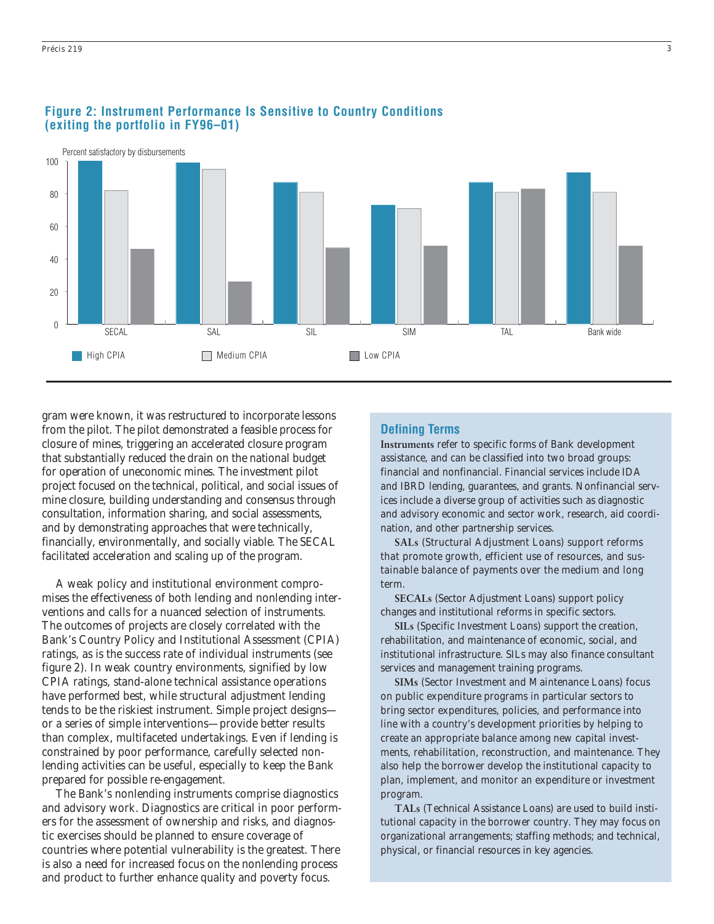

# **Figure 2: Instrument Performance Is Sensitive to Country Conditions (exiting the portfolio in FY96–01)**

gram were known, it was restructured to incorporate lessons from the pilot. The pilot demonstrated a feasible process for closure of mines, triggering an accelerated closure program that substantially reduced the drain on the national budget for operation of uneconomic mines. The investment pilot project focused on the technical, political, and social issues of mine closure, building understanding and consensus through consultation, information sharing, and social assessments, and by demonstrating approaches that were technically, financially, environmentally, and socially viable. The SECAL facilitated acceleration and scaling up of the program.

*A weak policy and institutional environment compromises the effectiveness of both lending and nonlending interventions and calls for a nuanced selection of instruments. The outcomes of projects are closely correlated with the Bank's Country Policy and Institutional Assessment (CPIA) ratings, as is the success rate of individual instruments (see figure 2). In weak country environments, signified by low CPIA ratings, stand-alone technical assistance operations have performed best, while structural adjustment lending tends to be the riskiest instrument. Simple project designs or a series of simple interventions—provide better results than complex, multifaceted undertakings. Even if lending is constrained by poor performance, carefully selected nonlending activities can be useful, especially to keep the Bank prepared for possible re-engagement.* 

The Bank's nonlending instruments comprise diagnostics and advisory work. Diagnostics are critical in poor performers for the assessment of ownership and risks, and diagnostic exercises should be planned to ensure coverage of countries where potential vulnerability is the greatest. There is also a need for increased focus on the nonlending process and product to further enhance quality and poverty focus.

# **Defining Terms**

**Instruments** refer to specific forms of Bank development assistance, and can be classified into two broad groups: financial and nonfinancial. Financial services include IDA and IBRD lending, guarantees, and grants. Nonfinancial services include a diverse group of activities such as diagnostic and advisory economic and sector work, research, aid coordination, and other partnership services.

**SALs** (Structural Adjustment Loans) support reforms that promote growth, efficient use of resources, and sustainable balance of payments over the medium and long term.

**SECALs** (Sector Adjustment Loans) support policy changes and institutional reforms in specific sectors.

**SILs** (Specific Investment Loans) support the creation, rehabilitation, and maintenance of economic, social, and institutional infrastructure. SILs may also finance consultant services and management training programs.

**SIMs** (Sector Investment and Maintenance Loans) focus on public expenditure programs in particular sectors to bring sector expenditures, policies, and performance into line with a country's development priorities by helping to create an appropriate balance among new capital investments, rehabilitation, reconstruction, and maintenance. They also help the borrower develop the institutional capacity to plan, implement, and monitor an expenditure or investment program.

**TALs** (Technical Assistance Loans) are used to build institutional capacity in the borrower country. They may focus on organizational arrangements; staffing methods; and technical, physical, or financial resources in key agencies.